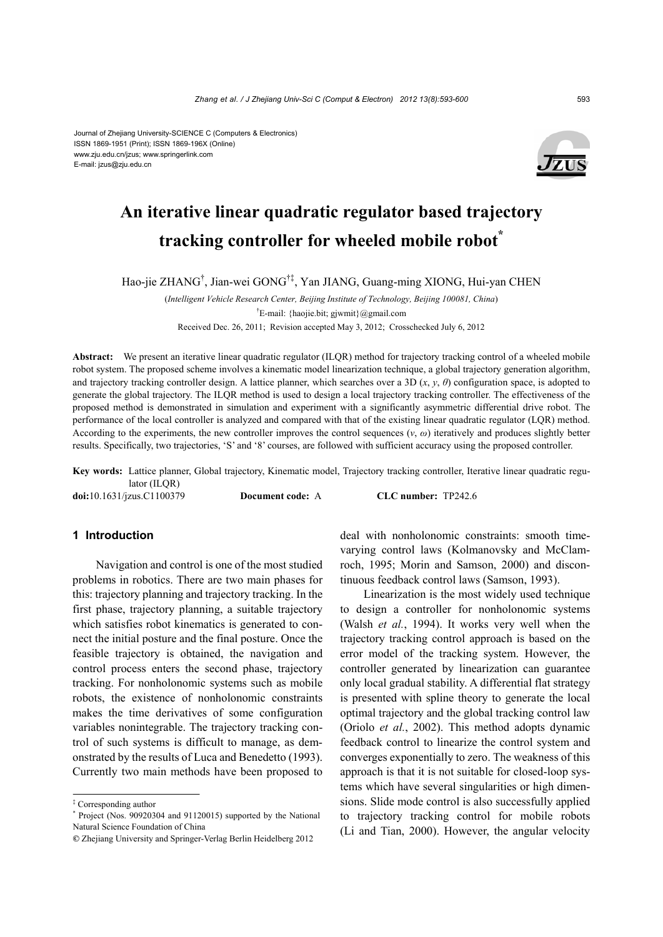#### Journal of Zhejiang University-SCIENCE C (Computers & Electronics) ISSN 1869-1951 (Print); ISSN 1869-196X (Online) www.zju.edu.cn/jzus; www.springerlink.com E-mail: jzus@zju.edu.cn



# **An iterative linear quadratic regulator based trajectory tracking controller for wheeled mobile robot\***

Hao-jie ZHANG† , Jian-wei GONG†‡, Yan JIANG, Guang-ming XIONG, Hui-yan CHEN

(*Intelligent Vehicle Research Center, Beijing Institute of Technology, Beijing 100081, China*) † E-mail: {haojie.bit; gjwmit}@gmail.com Received Dec. 26, 2011; Revision accepted May 3, 2012; Crosschecked July 6, 2012

**Abstract:** We present an iterative linear quadratic regulator (ILQR) method for trajectory tracking control of a wheeled mobile robot system. The proposed scheme involves a kinematic model linearization technique, a global trajectory generation algorithm, and trajectory tracking controller design. A lattice planner, which searches over a 3D  $(x, y, \theta)$  configuration space, is adopted to generate the global trajectory. The ILQR method is used to design a local trajectory tracking controller. The effectiveness of the proposed method is demonstrated in simulation and experiment with a significantly asymmetric differential drive robot. The performance of the local controller is analyzed and compared with that of the existing linear quadratic regulator (LQR) method. According to the experiments, the new controller improves the control sequences  $(v, \omega)$  iteratively and produces slightly better results. Specifically, two trajectories, 'S' and '8' courses, are followed with sufficient accuracy using the proposed controller.

**Key words:** Lattice planner, Global trajectory, Kinematic model, Trajectory tracking controller, Iterative linear quadratic regulator (ILOR)

**doi:**10.1631/jzus.C1100379 **Document code:** A **CLC number:** TP242.6

## **1 Introduction**

Navigation and control is one of the most studied problems in robotics. There are two main phases for this: trajectory planning and trajectory tracking. In the first phase, trajectory planning, a suitable trajectory which satisfies robot kinematics is generated to connect the initial posture and the final posture. Once the feasible trajectory is obtained, the navigation and control process enters the second phase, trajectory tracking. For nonholonomic systems such as mobile robots, the existence of nonholonomic constraints makes the time derivatives of some configuration variables nonintegrable. The trajectory tracking control of such systems is difficult to manage, as demonstrated by the results of Luca and Benedetto (1993). Currently two main methods have been proposed to

deal with nonholonomic constraints: smooth timevarying control laws (Kolmanovsky and McClamroch, 1995; Morin and Samson, 2000) and discontinuous feedback control laws (Samson, 1993).

Linearization is the most widely used technique to design a controller for nonholonomic systems (Walsh *et al.*, 1994). It works very well when the trajectory tracking control approach is based on the error model of the tracking system. However, the controller generated by linearization can guarantee only local gradual stability. A differential flat strategy is presented with spline theory to generate the local optimal trajectory and the global tracking control law (Oriolo *et al.*, 2002). This method adopts dynamic feedback control to linearize the control system and converges exponentially to zero. The weakness of this approach is that it is not suitable for closed-loop systems which have several singularities or high dimensions. Slide mode control is also successfully applied to trajectory tracking control for mobile robots (Li and Tian, 2000). However, the angular velocity

<sup>‡</sup> Corresponding author

<sup>\*</sup> Project (Nos. 90920304 and 91120015) supported by the National Natural Science Foundation of China

**<sup>©</sup>** Zhejiang University and Springer-Verlag Berlin Heidelberg 2012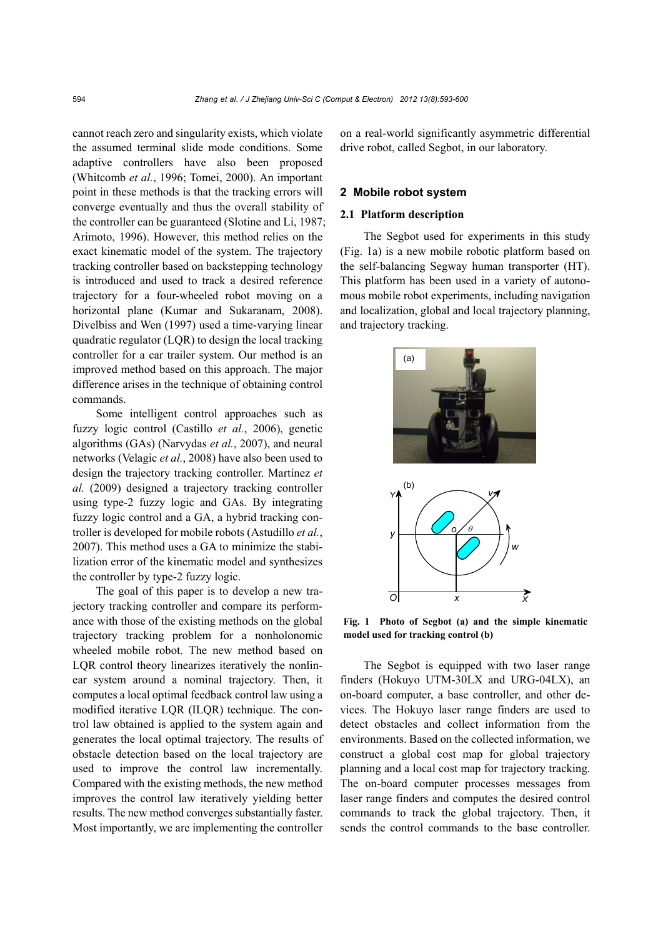cannot reach zero and singularity exists, which violate the assumed terminal slide mode conditions. Some adaptive controllers have also been proposed (Whitcomb *et al.*, 1996; Tomei, 2000). An important point in these methods is that the tracking errors will converge eventually and thus the overall stability of the controller can be guaranteed (Slotine and Li, 1987; Arimoto, 1996). However, this method relies on the exact kinematic model of the system. The trajectory tracking controller based on backstepping technology is introduced and used to track a desired reference trajectory for a four-wheeled robot moving on a horizontal plane (Kumar and Sukaranam, 2008). Divelbiss and Wen (1997) used a time-varying linear quadratic regulator (LQR) to design the local tracking controller for a car trailer system. Our method is an improved method based on this approach. The major difference arises in the technique of obtaining control commands.

Some intelligent control approaches such as fuzzy logic control (Castillo *et al.*, 2006), genetic algorithms (GAs) (Narvydas *et al.*, 2007), and neural networks (Velagic *et al.*, 2008) have also been used to design the trajectory tracking controller. Martínez *et al.* (2009) designed a trajectory tracking controller using type-2 fuzzy logic and GAs. By integrating fuzzy logic control and a GA, a hybrid tracking controller is developed for mobile robots (Astudillo *et al.*, 2007). This method uses a GA to minimize the stabilization error of the kinematic model and synthesizes the controller by type-2 fuzzy logic.

The goal of this paper is to develop a new trajectory tracking controller and compare its performance with those of the existing methods on the global trajectory tracking problem for a nonholonomic wheeled mobile robot. The new method based on LQR control theory linearizes iteratively the nonlinear system around a nominal trajectory. Then, it computes a local optimal feedback control law using a modified iterative LQR (ILQR) technique. The control law obtained is applied to the system again and generates the local optimal trajectory. The results of obstacle detection based on the local trajectory are used to improve the control law incrementally. Compared with the existing methods, the new method improves the control law iteratively yielding better results. The new method converges substantially faster. Most importantly, we are implementing the controller on a real-world significantly asymmetric differential drive robot, called Segbot, in our laboratory.

#### **2 Mobile robot system**

## **2.1 Platform description**

The Segbot used for experiments in this study (Fig. 1a) is a new mobile robotic platform based on the self-balancing Segway human transporter (HT). This platform has been used in a variety of autonomous mobile robot experiments, including navigation and localization, global and local trajectory planning, and trajectory tracking.



**Fig. 1 Photo of Segbot (a) and the simple kinematic model used for tracking control (b)**

The Segbot is equipped with two laser range finders (Hokuyo UTM-30LX and URG-04LX), an on-board computer, a base controller, and other devices. The Hokuyo laser range finders are used to detect obstacles and collect information from the environments. Based on the collected information, we construct a global cost map for global trajectory planning and a local cost map for trajectory tracking. The on-board computer processes messages from laser range finders and computes the desired control commands to track the global trajectory. Then, it sends the control commands to the base controller.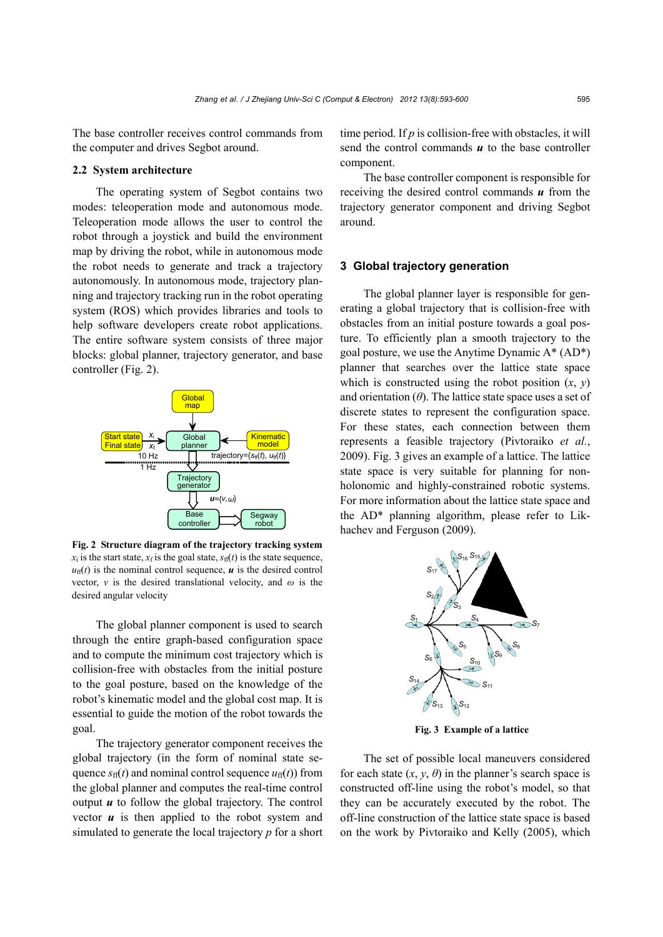The base controller receives control commands from the computer and drives Segbot around.

#### **2.2 System architecture**

The operating system of Segbot contains two modes: teleoperation mode and autonomous mode. Teleoperation mode allows the user to control the robot through a joystick and build the environment map by driving the robot, while in autonomous mode the robot needs to generate and track a trajectory autonomously. In autonomous mode, trajectory planning and trajectory tracking run in the robot operating system (ROS) which provides libraries and tools to help software developers create robot applications. The entire software system consists of three major blocks: global planner, trajectory generator, and base controller (Fig. 2).



**Fig. 2 Structure diagram of the trajectory tracking system**  $x_i$  is the start state,  $x_f$  is the goal state,  $s_f(f)$  is the state sequence,  $u_{\text{ff}}(t)$  is the nominal control sequence, *u* is the desired control vector,  $v$  is the desired translational velocity, and  $\omega$  is the desired angular velocity

The global planner component is used to search through the entire graph-based configuration space and to compute the minimum cost trajectory which is collision-free with obstacles from the initial posture to the goal posture, based on the knowledge of the robot's kinematic model and the global cost map. It is essential to guide the motion of the robot towards the goal.

The trajectory generator component receives the global trajectory (in the form of nominal state sequence  $s_{\text{ff}}(t)$  and nominal control sequence  $u_{\text{ff}}(t)$ ) from the global planner and computes the real-time control output *u* to follow the global trajectory. The control vector  $\boldsymbol{u}$  is then applied to the robot system and simulated to generate the local trajectory *p* for a short

time period. If *p* is collision-free with obstacles, it will send the control commands  $\boldsymbol{u}$  to the base controller component.

The base controller component is responsible for receiving the desired control commands *u* from the trajectory generator component and driving Segbot around.

## **3 Global trajectory generation**

The global planner layer is responsible for generating a global trajectory that is collision-free with obstacles from an initial posture towards a goal posture. To efficiently plan a smooth trajectory to the goal posture, we use the Anytime Dynamic A\* (AD\*) planner that searches over the lattice state space which is constructed using the robot position  $(x, y)$ and orientation  $(\theta)$ . The lattice state space uses a set of discrete states to represent the configuration space. For these states, each connection between them represents a feasible trajectory (Pivtoraiko *et al.*, 2009). Fig. 3 gives an example of a lattice. The lattice state space is very suitable for planning for nonholonomic and highly-constrained robotic systems. For more information about the lattice state space and the AD\* planning algorithm, please refer to Likhachev and Ferguson (2009).



**Fig. 3 Example of a lattice**

The set of possible local maneuvers considered for each state  $(x, y, \theta)$  in the planner's search space is constructed off-line using the robot's model, so that they can be accurately executed by the robot. The off-line construction of the lattice state space is based on the work by Pivtoraiko and Kelly (2005), which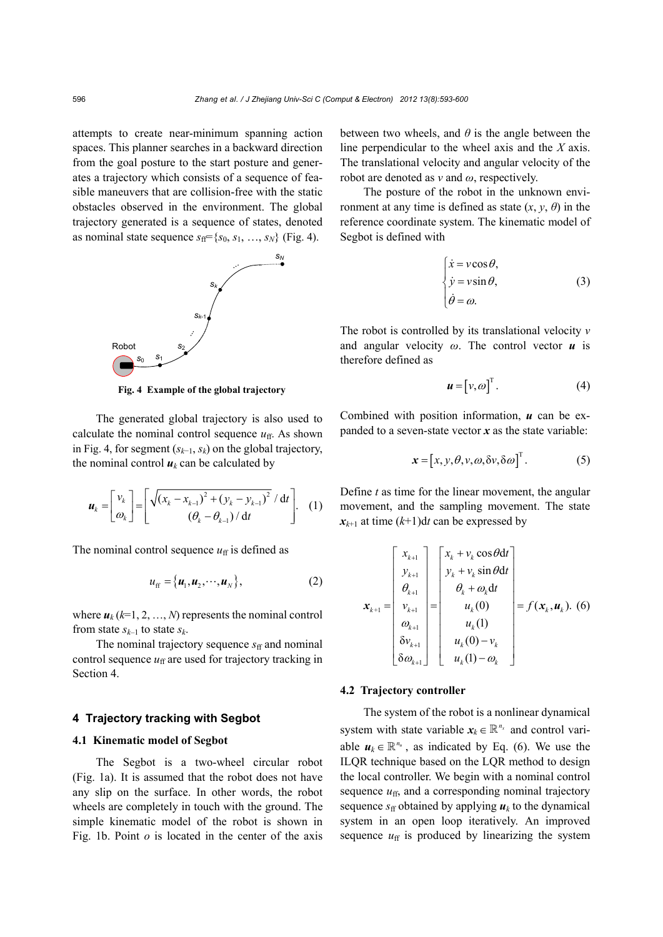attempts to create near-minimum spanning action spaces. This planner searches in a backward direction from the goal posture to the start posture and generates a trajectory which consists of a sequence of feasible maneuvers that are collision-free with the static obstacles observed in the environment. The global trajectory generated is a sequence of states, denoted as nominal state sequence  $s_{\text{ff}} = \{s_0, s_1, \ldots, s_N\}$  (Fig. 4).



**Fig. 4 Example of the global trajectory**

The generated global trajectory is also used to calculate the nominal control sequence  $u_{ff}$ . As shown in Fig. 4, for segment (*sk*−1, *sk*) on the global trajectory, the nominal control  $u_k$  can be calculated by

$$
\boldsymbol{u}_{k} = \begin{bmatrix} v_{k} \\ \omega_{k} \end{bmatrix} = \begin{bmatrix} \sqrt{(x_{k} - x_{k-1})^{2} + (y_{k} - y_{k-1})^{2}} / dt \\ (\theta_{k} - \theta_{k-1}) / dt \end{bmatrix}.
$$
 (1)

The nominal control sequence  $u_{ff}$  is defined as

$$
u_{\text{ff}} = {\mathbf{u}_1, \mathbf{u}_2, \cdots, \mathbf{u}_N}, \tag{2}
$$

where  $u_k$  ( $k=1, 2, ..., N$ ) represents the nominal control from state  $s_{k-1}$  to state  $s_k$ .

The nominal trajectory sequence  $s_f$  and nominal control sequence  $u_{ff}$  are used for trajectory tracking in Section 4.

## **4 Trajectory tracking with Segbot**

## **4.1 Kinematic model of Segbot**

The Segbot is a two-wheel circular robot (Fig. 1a). It is assumed that the robot does not have any slip on the surface. In other words, the robot wheels are completely in touch with the ground. The simple kinematic model of the robot is shown in Fig. 1b. Point *o* is located in the center of the axis between two wheels, and *θ* is the angle between the line perpendicular to the wheel axis and the *X* axis. The translational velocity and angular velocity of the robot are denoted as *v* and *ω*, respectively.

The posture of the robot in the unknown environment at any time is defined as state  $(x, y, \theta)$  in the reference coordinate system. The kinematic model of Segbot is defined with

$$
\begin{cases}\n\dot{x} = v \cos \theta, \\
\dot{y} = v \sin \theta, \\
\dot{\theta} = \omega.\n\end{cases}
$$
\n(3)

The robot is controlled by its translational velocity *v* and angular velocity *ω*. The control vector *u* is therefore defined as

$$
\boldsymbol{u} = \begin{bmatrix} v, \omega \end{bmatrix}^\mathrm{T} . \tag{4}
$$

Combined with position information, *u* can be expanded to a seven-state vector  $x$  as the state variable:

$$
\mathbf{x} = [x, y, \theta, v, \omega, \delta v, \delta \omega]^{T}.
$$
 (5)

Define *t* as time for the linear movement, the angular movement, and the sampling movement. The state  $x_{k+1}$  at time  $(k+1)dt$  can be expressed by

$$
\mathbf{x}_{k+1} = \begin{bmatrix} x_{k+1} \\ y_{k+1} \\ \theta_{k+1} \\ v_{k+1} \\ \theta_{k+1} \\ \theta_{k+1} \\ \delta v_{k+1} \\ \delta \omega_{k+1} \end{bmatrix} = \begin{bmatrix} x_k + v_k \cos \theta dt \\ y_k + v_k \sin \theta dt \\ \theta_k + \omega_k dt \\ u_k(0) \\ u_k(1) \\ u_k(0) - v_k \\ u_k(1) - \omega_k \end{bmatrix} = f(\mathbf{x}_k, \mathbf{u}_k). (6)
$$

#### **4.2 Trajectory controller**

The system of the robot is a nonlinear dynamical system with state variable  $x_k \in \mathbb{R}^{n_x}$  and control variable  $u_k \in \mathbb{R}^{n_u}$ , as indicated by Eq. (6). We use the ILQR technique based on the LQR method to design the local controller. We begin with a nominal control sequence  $u_{\text{ff}}$ , and a corresponding nominal trajectory sequence  $s_{\text{ff}}$  obtained by applying  $u_k$  to the dynamical system in an open loop iteratively. An improved sequence  $u_{ff}$  is produced by linearizing the system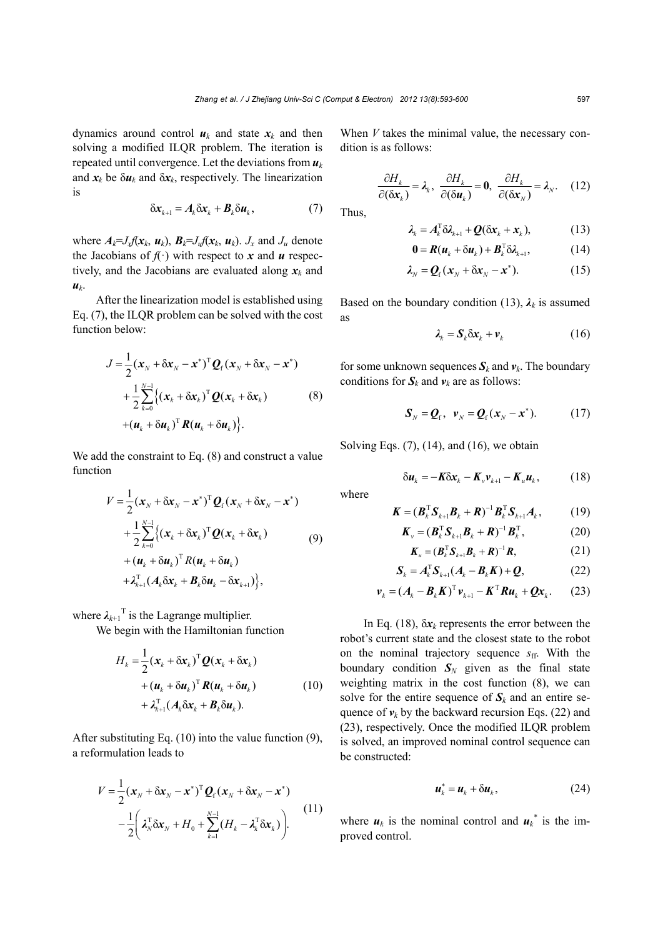dynamics around control  $u_k$  and state  $x_k$  and then solving a modified ILQR problem. The iteration is repeated until convergence. Let the deviations from  $u_k$ and  $x_k$  be  $\delta u_k$  and  $\delta x_k$ , respectively. The linearization is

$$
\delta x_{k+1} = A_k \delta x_k + B_k \delta u_k, \qquad (7)
$$

where  $A_k = J_x f(x_k, u_k)$ ,  $B_k = J_u f(x_k, u_k)$ .  $J_x$  and  $J_u$  denote the Jacobians of  $f(\cdot)$  with respect to *x* and *u* respectively, and the Jacobians are evaluated along  $x_k$  and  $u_k$ .

After the linearization model is established using Eq. (7), the ILQR problem can be solved with the cost function below:

$$
J = \frac{1}{2} (\mathbf{x}_{N} + \delta \mathbf{x}_{N} - \mathbf{x}^{*})^{\mathrm{T}} \mathbf{Q}_{\mathrm{f}} (\mathbf{x}_{N} + \delta \mathbf{x}_{N} - \mathbf{x}^{*})
$$
  
+ 
$$
\frac{1}{2} \sum_{k=0}^{N-1} \{ (\mathbf{x}_{k} + \delta \mathbf{x}_{k})^{\mathrm{T}} \mathbf{Q} (\mathbf{x}_{k} + \delta \mathbf{x}_{k}) + (\mathbf{u}_{k} + \delta \mathbf{u}_{k})^{\mathrm{T}} \mathbf{R} (\mathbf{u}_{k} + \delta \mathbf{u}_{k}) \}.
$$
 (8)

We add the constraint to Eq. (8) and construct a value function

$$
V = \frac{1}{2} (\mathbf{x}_{N} + \delta \mathbf{x}_{N} - \mathbf{x}^{*})^{\mathrm{T}} \mathbf{Q}_{\mathrm{f}} (\mathbf{x}_{N} + \delta \mathbf{x}_{N} - \mathbf{x}^{*})
$$
  
+ 
$$
\frac{1}{2} \sum_{k=0}^{N-1} \{ (\mathbf{x}_{k} + \delta \mathbf{x}_{k})^{\mathrm{T}} \mathbf{Q} (\mathbf{x}_{k} + \delta \mathbf{x}_{k}) + (\mathbf{u}_{k} + \delta \mathbf{u}_{k})^{\mathrm{T}} R (\mathbf{u}_{k} + \delta \mathbf{u}_{k}) + \lambda_{k+1}^{\mathrm{T}} (\mathbf{A}_{k} \delta \mathbf{x}_{k} + \mathbf{B}_{k} \delta \mathbf{u}_{k} - \delta \mathbf{x}_{k+1}) \},
$$
  
(9)

where  $\lambda_{k+1}$ <sup>T</sup> is the Lagrange multiplier.

We begin with the Hamiltonian function

$$
H_k = \frac{1}{2} (\boldsymbol{x}_k + \delta \boldsymbol{x}_k)^{\mathrm{T}} \boldsymbol{Q} (\boldsymbol{x}_k + \delta \boldsymbol{x}_k)
$$
  
+  $(\boldsymbol{u}_k + \delta \boldsymbol{u}_k)^{\mathrm{T}} \boldsymbol{R} (\boldsymbol{u}_k + \delta \boldsymbol{u}_k)$   
+  $\lambda_{k+1}^{\mathrm{T}} (\boldsymbol{A}_k \delta \boldsymbol{x}_k + \boldsymbol{B}_k \delta \boldsymbol{u}_k).$  (10)

After substituting Eq. (10) into the value function (9), a reformulation leads to

$$
V = \frac{1}{2} (\mathbf{x}_N + \delta \mathbf{x}_N - \mathbf{x}^*)^T \mathbf{Q}_f (\mathbf{x}_N + \delta \mathbf{x}_N - \mathbf{x}^*)
$$
  

$$
- \frac{1}{2} \left( \lambda_N^T \delta \mathbf{x}_N + H_0 + \sum_{k=1}^{N-1} (H_k - \lambda_k^T \delta \mathbf{x}_k) \right).
$$
 (11)

When *V* takes the minimal value, the necessary condition is as follows:

$$
\frac{\partial H_k}{\partial (\delta \mathbf{x}_k)} = \lambda_k, \ \frac{\partial H_k}{\partial (\delta \mathbf{u}_k)} = \mathbf{0}, \ \frac{\partial H_k}{\partial (\delta \mathbf{x}_N)} = \lambda_N. \tag{12}
$$

Thus,

$$
\lambda_k = A_k^{\mathrm{T}} \delta \lambda_{k+1} + \mathcal{Q}(\delta x_k + x_k), \tag{13}
$$

$$
\mathbf{0} = \mathbf{R}(\mathbf{u}_k + \delta \mathbf{u}_k) + \mathbf{B}_k^{\mathrm{T}} \delta \lambda_{k+1},
$$
 (14)

$$
\lambda_N = \mathbf{Q}_\mathrm{f}(\mathbf{x}_N + \delta \mathbf{x}_N - \mathbf{x}^*). \tag{15}
$$

Based on the boundary condition (13),  $\lambda_k$  is assumed as

$$
\lambda_k = \mathbf{S}_k \delta \mathbf{x}_k + \mathbf{v}_k \tag{16}
$$

for some unknown sequences  $S_k$  and  $v_k$ . The boundary conditions for  $S_k$  and  $v_k$  are as follows:

$$
\boldsymbol{S}_N = \boldsymbol{Q}_\mathrm{f}, \ \boldsymbol{v}_N = \boldsymbol{Q}_\mathrm{f}(\boldsymbol{x}_N - \boldsymbol{x}^*). \tag{17}
$$

Solving Eqs.  $(7)$ ,  $(14)$ , and  $(16)$ , we obtain

$$
\delta u_k = -K \delta x_k - K_{\nu} v_{k+1} - K_{\nu} u_k, \qquad (18)
$$

where

$$
\boldsymbol{K} = (\boldsymbol{B}_k^{\mathrm{T}} \boldsymbol{S}_{k+1} \boldsymbol{B}_k + \boldsymbol{R})^{-1} \boldsymbol{B}_k^{\mathrm{T}} \boldsymbol{S}_{k+1} \boldsymbol{A}_k, \qquad (19)
$$

$$
\boldsymbol{K}_{v} = (\boldsymbol{B}_{k}^{\mathrm{T}} \boldsymbol{S}_{k+1} \boldsymbol{B}_{k} + \boldsymbol{R})^{-1} \boldsymbol{B}_{k}^{\mathrm{T}}, \qquad (20)
$$

$$
\boldsymbol{K}_u = (\boldsymbol{B}_k^{\mathrm{T}} \boldsymbol{S}_{k+1} \boldsymbol{B}_k + \boldsymbol{R})^{-1} \boldsymbol{R}, \qquad (21)
$$

$$
\mathbf{S}_{k} = A_{k}^{\mathrm{T}} \mathbf{S}_{k+1} (A_{k} - B_{k} \mathbf{K}) + \mathbf{Q}, \tag{22}
$$

$$
\boldsymbol{v}_{k} = (\boldsymbol{A}_{k} - \boldsymbol{B}_{k} \boldsymbol{K})^{\mathrm{T}} \boldsymbol{v}_{k+1} - \boldsymbol{K}^{\mathrm{T}} \boldsymbol{R} \boldsymbol{u}_{k} + \boldsymbol{Q} \boldsymbol{x}_{k}. \qquad (23)
$$

In Eq. (18),  $\delta x_k$  represents the error between the robot's current state and the closest state to the robot on the nominal trajectory sequence  $s_{\text{ff}}$ . With the boundary condition  $S_N$  given as the final state weighting matrix in the cost function (8), we can solve for the entire sequence of  $S_k$  and an entire sequence of  $v_k$  by the backward recursion Eqs. (22) and (23), respectively. Once the modified ILQR problem is solved, an improved nominal control sequence can be constructed:

$$
\boldsymbol{u}_k^* = \boldsymbol{u}_k + \delta \boldsymbol{u}_k, \tag{24}
$$

where  $u_k$  is the nominal control and  $u_k^*$  is the improved control.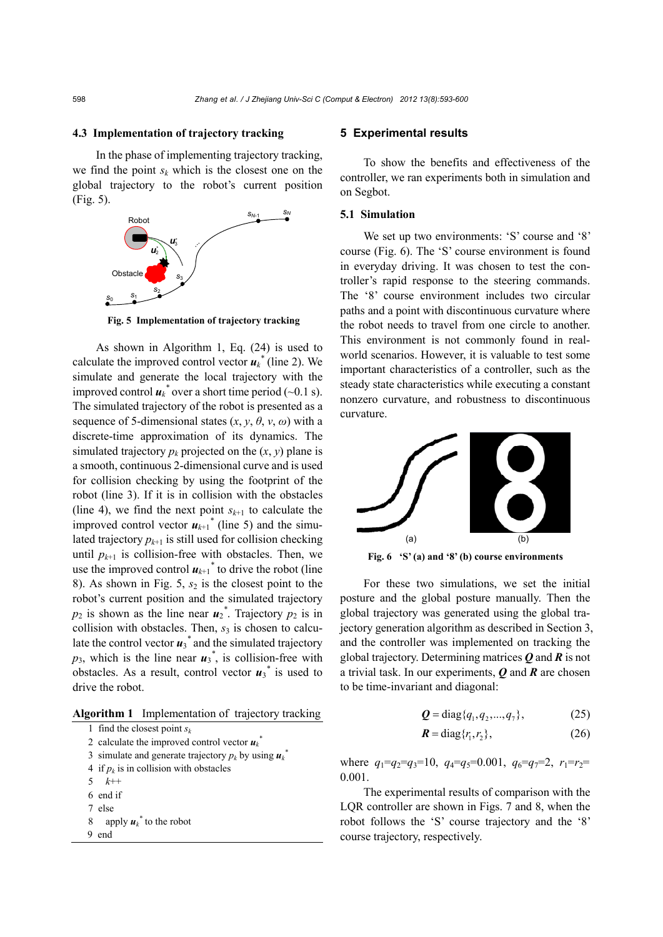#### **4.3 Implementation of trajectory tracking**

In the phase of implementing trajectory tracking, we find the point  $s_k$  which is the closest one on the global trajectory to the robot's current position (Fig. 5).



**Fig. 5 Implementation of trajectory tracking**

As shown in Algorithm 1, Eq. (24) is used to calculate the improved control vector  $u_k^*$  (line 2). We simulate and generate the local trajectory with the improved control  $\boldsymbol{u}_k^*$  over a short time period (~0.1 s). The simulated trajectory of the robot is presented as a sequence of 5-dimensional states  $(x, y, \theta, v, \omega)$  with a discrete-time approximation of its dynamics. The simulated trajectory  $p_k$  projected on the  $(x, y)$  plane is a smooth, continuous 2-dimensional curve and is used for collision checking by using the footprint of the robot (line 3). If it is in collision with the obstacles (line 4), we find the next point  $s_{k+1}$  to calculate the improved control vector  $u_{k+1}$ <sup>\*</sup> (line 5) and the simulated trajectory  $p_{k+1}$  is still used for collision checking until  $p_{k+1}$  is collision-free with obstacles. Then, we use the improved control  $u_{k+1}$ <sup>\*</sup> to drive the robot (line 8). As shown in Fig. 5,  $s_2$  is the closest point to the robot's current position and the simulated trajectory  $p_2$  is shown as the line near  $u_2$ <sup>\*</sup>. Trajectory  $p_2$  is in collision with obstacles. Then,  $s<sub>3</sub>$  is chosen to calculate the control vector  $u_3^*$  and the simulated trajectory  $p_3$ , which is the line near  $u_3^*$ , is collision-free with obstacles. As a result, control vector  $u_3^*$  is used to drive the robot.

**Algorithm 1** Implementation of trajectory tracking

| 1 find the closest point $s_k$                                         |
|------------------------------------------------------------------------|
| 2 calculate the improved control vector $u_k$ <sup>2</sup>             |
| 3 simulate and generate trajectory $p_k$ by using $\boldsymbol{u}_k^*$ |
| 4 if $p_k$ is in collision with obstacles                              |
| 5 $k++$                                                                |
| 6 end if                                                               |
| 7 else                                                                 |
| apply $u_k^*$ to the robot<br>8                                        |
| end                                                                    |
|                                                                        |

#### **5 Experimental results**

To show the benefits and effectiveness of the controller, we ran experiments both in simulation and on Segbot.

#### **5.1 Simulation**

We set up two environments: 'S' course and '8' course (Fig. 6). The 'S' course environment is found in everyday driving. It was chosen to test the controller's rapid response to the steering commands. The '8' course environment includes two circular paths and a point with discontinuous curvature where the robot needs to travel from one circle to another. This environment is not commonly found in realworld scenarios. However, it is valuable to test some important characteristics of a controller, such as the steady state characteristics while executing a constant nonzero curvature, and robustness to discontinuous curvature.



**Fig. 6 'S' (a) and '8' (b) course environments**

For these two simulations, we set the initial posture and the global posture manually. Then the global trajectory was generated using the global trajectory generation algorithm as described in Section 3, and the controller was implemented on tracking the global trajectory. Determining matrices *Q* and *R* is not a trivial task. In our experiments, *Q* and *R* are chosen to be time-invariant and diagonal:

$$
Q = diag{q_1, q_2, ..., q_7},
$$
 (25)

$$
\mathbf{R} = \text{diag}\{r_1, r_2\},\tag{26}
$$

where  $q_1 = q_2 = q_3 = 10$ ,  $q_4 = q_5 = 0.001$ ,  $q_6 = q_7 = 2$ ,  $r_1 = r_2 =$ 0.001.

The experimental results of comparison with the LQR controller are shown in Figs. 7 and 8, when the robot follows the 'S' course trajectory and the '8' course trajectory, respectively.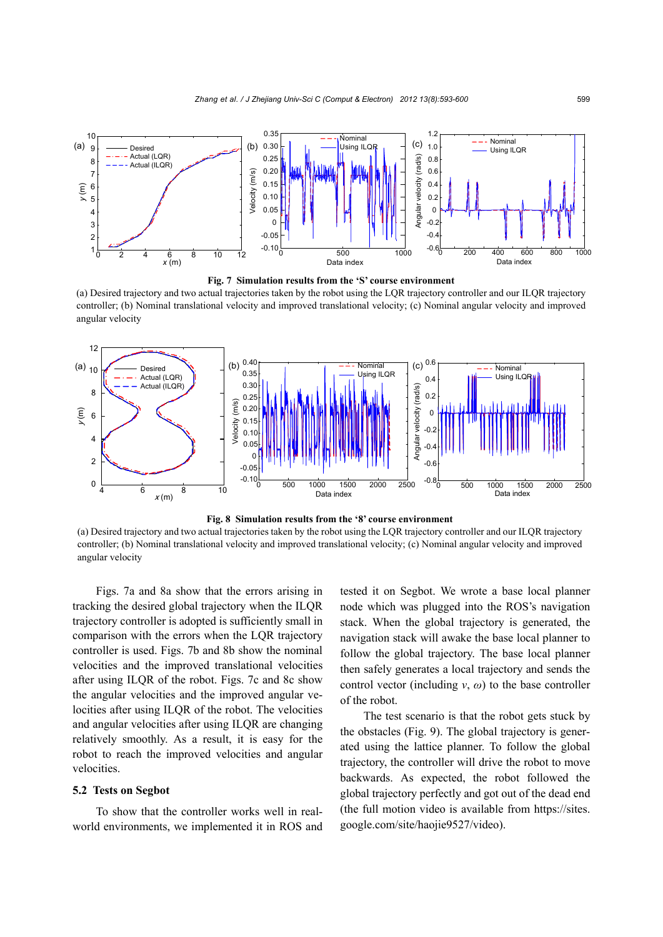



(a) Desired trajectory and two actual trajectories taken by the robot using the LQR trajectory controller and our ILQR trajectory controller; (b) Nominal translational velocity and improved translational velocity; (c) Nominal angular velocity and improved angular velocity





(a) Desired trajectory and two actual trajectories taken by the robot using the LQR trajectory controller and our ILQR trajectory controller; (b) Nominal translational velocity and improved translational velocity; (c) Nominal angular velocity and improved angular velocity

Figs. 7a and 8a show that the errors arising in tracking the desired global trajectory when the ILQR trajectory controller is adopted is sufficiently small in comparison with the errors when the LQR trajectory controller is used. Figs. 7b and 8b show the nominal velocities and the improved translational velocities after using ILQR of the robot. Figs. 7c and 8c show the angular velocities and the improved angular velocities after using ILQR of the robot. The velocities and angular velocities after using ILQR are changing relatively smoothly. As a result, it is easy for the robot to reach the improved velocities and angular velocities.

#### **5.2 Tests on Segbot**

To show that the controller works well in realworld environments, we implemented it in ROS and tested it on Segbot. We wrote a base local planner node which was plugged into the ROS's navigation stack. When the global trajectory is generated, the navigation stack will awake the base local planner to follow the global trajectory. The base local planner then safely generates a local trajectory and sends the control vector (including  $v$ ,  $\omega$ ) to the base controller of the robot.

The test scenario is that the robot gets stuck by the obstacles (Fig. 9). The global trajectory is generated using the lattice planner. To follow the global trajectory, the controller will drive the robot to move backwards. As expected, the robot followed the global trajectory perfectly and got out of the dead end (the full motion video is available from https://sites. google.com/site/haojie9527/video).